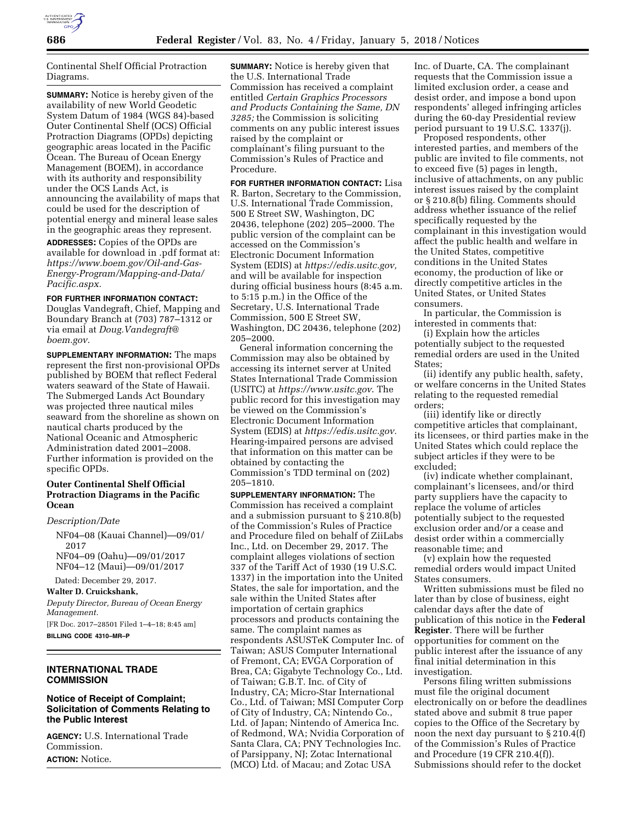

Continental Shelf Official Protraction Diagrams.

**SUMMARY:** Notice is hereby given of the availability of new World Geodetic System Datum of 1984 (WGS 84)-based Outer Continental Shelf (OCS) Official Protraction Diagrams (OPDs) depicting geographic areas located in the Pacific Ocean. The Bureau of Ocean Energy Management (BOEM), in accordance with its authority and responsibility under the OCS Lands Act, is announcing the availability of maps that could be used for the description of potential energy and mineral lease sales in the geographic areas they represent.

**ADDRESSES:** Copies of the OPDs are available for download in .pdf format at: *[https://www.boem.gov/Oil-and-Gas-](https://www.boem.gov/Oil-and-Gas-Energy-Program/Mapping-and-Data/Pacific.aspx)[Energy-Program/Mapping-and-Data/](https://www.boem.gov/Oil-and-Gas-Energy-Program/Mapping-and-Data/Pacific.aspx)  [Pacific.aspx.](https://www.boem.gov/Oil-and-Gas-Energy-Program/Mapping-and-Data/Pacific.aspx)* 

#### **FOR FURTHER INFORMATION CONTACT:**

Douglas Vandegraft, Chief, Mapping and Boundary Branch at (703) 787–1312 or via email at *[Doug.Vandegraft@](mailto:Doug.Vandegraft@boem.gov) [boem.gov.](mailto:Doug.Vandegraft@boem.gov)* 

**SUPPLEMENTARY INFORMATION:** The maps represent the first non-provisional OPDs published by BOEM that reflect Federal waters seaward of the State of Hawaii. The Submerged Lands Act Boundary was projected three nautical miles seaward from the shoreline as shown on nautical charts produced by the National Oceanic and Atmospheric Administration dated 2001–2008. Further information is provided on the specific OPDs.

## **Outer Continental Shelf Official Protraction Diagrams in the Pacific Ocean**

*Description/Date* 

NF04–08 (Kauai Channel)—09/01/ 2017 NF04–09 (Oahu)—09/01/2017 NF04–12 (Maui)—09/01/2017

Dated: December 29, 2017.

**Walter D. Cruickshank,**  *Deputy Director, Bureau of Ocean Energy Management.*  [FR Doc. 2017–28501 Filed 1–4–18; 8:45 am]

**BILLING CODE 4310–MR–P** 

## **INTERNATIONAL TRADE COMMISSION**

### **Notice of Receipt of Complaint; Solicitation of Comments Relating to the Public Interest**

**AGENCY:** U.S. International Trade Commission. **ACTION:** Notice.

**SUMMARY:** Notice is hereby given that the U.S. International Trade Commission has received a complaint entitled *Certain Graphics Processors and Products Containing the Same, DN 3285;* the Commission is soliciting comments on any public interest issues raised by the complaint or complainant's filing pursuant to the Commission's Rules of Practice and Procedure.

**FOR FURTHER INFORMATION CONTACT:** Lisa R. Barton, Secretary to the Commission, U.S. International Trade Commission, 500 E Street SW, Washington, DC 20436, telephone (202) 205–2000. The public version of the complaint can be accessed on the Commission's Electronic Document Information System (EDIS) at *[https://edis.usitc.gov,](https://edis.usitc.gov)*  and will be available for inspection during official business hours (8:45 a.m. to 5:15 p.m.) in the Office of the Secretary, U.S. International Trade Commission, 500 E Street SW, Washington, DC 20436, telephone (202) 205–2000.

General information concerning the Commission may also be obtained by accessing its internet server at United States International Trade Commission (USITC) at *<https://www.usitc.gov>*. The public record for this investigation may be viewed on the Commission's Electronic Document Information System (EDIS) at *[https://edis.usitc.gov.](https://edis.usitc.gov)*  Hearing-impaired persons are advised that information on this matter can be obtained by contacting the Commission's TDD terminal on (202) 205–1810.

**SUPPLEMENTARY INFORMATION:** The Commission has received a complaint and a submission pursuant to § 210.8(b) of the Commission's Rules of Practice and Procedure filed on behalf of ZiiLabs Inc., Ltd. on December 29, 2017. The complaint alleges violations of section 337 of the Tariff Act of 1930 (19 U.S.C. 1337) in the importation into the United States, the sale for importation, and the sale within the United States after importation of certain graphics processors and products containing the same. The complaint names as respondents ASUSTeK Computer Inc. of Taiwan; ASUS Computer International of Fremont, CA; EVGA Corporation of Brea, CA; Gigabyte Technology Co., Ltd. of Taiwan; G.B.T. Inc. of City of Industry, CA; Micro-Star International Co., Ltd. of Taiwan; MSI Computer Corp of City of Industry, CA; Nintendo Co., Ltd. of Japan; Nintendo of America Inc. of Redmond, WA; Nvidia Corporation of Santa Clara, CA; PNY Technologies Inc. of Parsippany, NJ; Zotac International (MCO) Ltd. of Macau; and Zotac USA

Inc. of Duarte, CA. The complainant requests that the Commission issue a limited exclusion order, a cease and desist order, and impose a bond upon respondents' alleged infringing articles during the 60-day Presidential review period pursuant to 19 U.S.C. 1337(j).

Proposed respondents, other interested parties, and members of the public are invited to file comments, not to exceed five (5) pages in length, inclusive of attachments, on any public interest issues raised by the complaint or § 210.8(b) filing. Comments should address whether issuance of the relief specifically requested by the complainant in this investigation would affect the public health and welfare in the United States, competitive conditions in the United States economy, the production of like or directly competitive articles in the United States, or United States consumers.

In particular, the Commission is interested in comments that:

(i) Explain how the articles potentially subject to the requested remedial orders are used in the United States;

(ii) identify any public health, safety, or welfare concerns in the United States relating to the requested remedial orders;

(iii) identify like or directly competitive articles that complainant, its licensees, or third parties make in the United States which could replace the subject articles if they were to be excluded;

(iv) indicate whether complainant, complainant's licensees, and/or third party suppliers have the capacity to replace the volume of articles potentially subject to the requested exclusion order and/or a cease and desist order within a commercially reasonable time; and

(v) explain how the requested remedial orders would impact United States consumers.

Written submissions must be filed no later than by close of business, eight calendar days after the date of publication of this notice in the **Federal Register**. There will be further opportunities for comment on the public interest after the issuance of any final initial determination in this investigation.

Persons filing written submissions must file the original document electronically on or before the deadlines stated above and submit 8 true paper copies to the Office of the Secretary by noon the next day pursuant to § 210.4(f) of the Commission's Rules of Practice and Procedure (19 CFR 210.4(f)). Submissions should refer to the docket